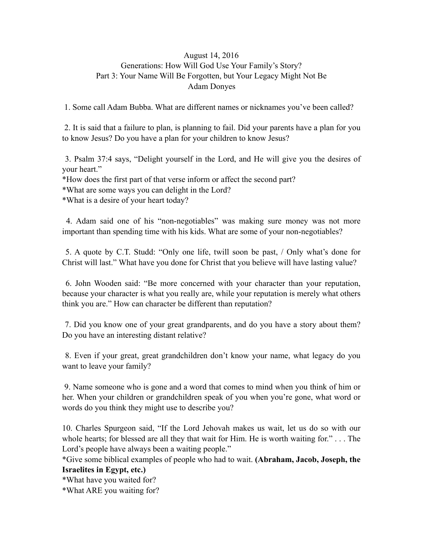## August 14, 2016 Generations: How Will God Use Your Family's Story? Part 3: Your Name Will Be Forgotten, but Your Legacy Might Not Be Adam Donyes

1. Some call Adam Bubba. What are different names or nicknames you've been called?

 2. It is said that a failure to plan, is planning to fail. Did your parents have a plan for you to know Jesus? Do you have a plan for your children to know Jesus?

 3. Psalm 37:4 says, "Delight yourself in the Lord, and He will give you the desires of your heart."

\*How does the first part of that verse inform or affect the second part?

\*What are some ways you can delight in the Lord?

\*What is a desire of your heart today?

 4. Adam said one of his "non-negotiables" was making sure money was not more important than spending time with his kids. What are some of your non-negotiables?

 5. A quote by C.T. Studd: "Only one life, twill soon be past, / Only what's done for Christ will last." What have you done for Christ that you believe will have lasting value?

 6. John Wooden said: "Be more concerned with your character than your reputation, because your character is what you really are, while your reputation is merely what others think you are." How can character be different than reputation?

 7. Did you know one of your great grandparents, and do you have a story about them? Do you have an interesting distant relative?

 8. Even if your great, great grandchildren don't know your name, what legacy do you want to leave your family?

 9. Name someone who is gone and a word that comes to mind when you think of him or her. When your children or grandchildren speak of you when you're gone, what word or words do you think they might use to describe you?

10. Charles Spurgeon said, "If the Lord Jehovah makes us wait, let us do so with our whole hearts; for blessed are all they that wait for Him. He is worth waiting for." . . . The Lord's people have always been a waiting people."

\*Give some biblical examples of people who had to wait. **(Abraham, Jacob, Joseph, the Israelites in Egypt, etc.)** 

\*What have you waited for?

\*What ARE you waiting for?